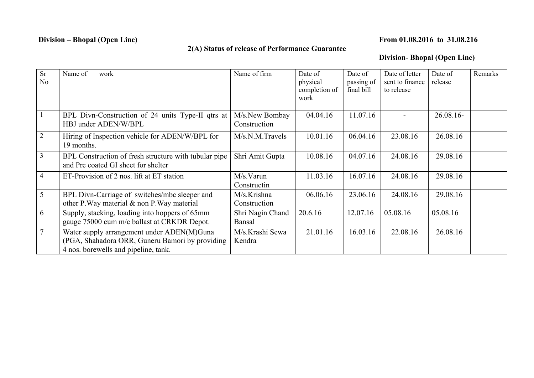## **Division – Bhopal (Open Line)** From 01.08.2016 to 31.08.216

## **2(A) Status of release of Performance Guarantee**

## **Division- Bhopal (Open Line)**

| <b>Sr</b>      | Name of<br>work                                       | Name of firm     | Date of       | Date of    | Date of letter  | Date of   | Remarks |
|----------------|-------------------------------------------------------|------------------|---------------|------------|-----------------|-----------|---------|
| No             |                                                       |                  | physical      | passing of | sent to finance | release   |         |
|                |                                                       |                  | completion of | final bill | to release      |           |         |
|                |                                                       |                  | work          |            |                 |           |         |
|                |                                                       |                  |               |            |                 |           |         |
|                | BPL Divn-Construction of 24 units Type-II qtrs at     | M/s.New Bombay   | 04.04.16      | 11.07.16   |                 | 26.08.16- |         |
|                | HBJ under ADEN/W/BPL                                  | Construction     |               |            |                 |           |         |
| $\overline{2}$ | Hiring of Inspection vehicle for ADEN/W/BPL for       | M/s.N.M.Travels  | 10.01.16      | 06.04.16   | 23.08.16        | 26.08.16  |         |
|                | 19 months.                                            |                  |               |            |                 |           |         |
| $\mathfrak{Z}$ | BPL Construction of fresh structure with tubular pipe | Shri Amit Gupta  | 10.08.16      | 04.07.16   | 24.08.16        | 29.08.16  |         |
|                | and Pre coated GI sheet for shelter                   |                  |               |            |                 |           |         |
| $\overline{4}$ | ET-Provision of 2 nos. lift at ET station             | M/s.Varun        | 11.03.16      | 16.07.16   | 24.08.16        | 29.08.16  |         |
|                |                                                       | Constructin      |               |            |                 |           |         |
| 5              | BPL Divn-Carriage of switches/mbc sleeper and         | M/s.Krishna      | 06.06.16      | 23.06.16   | 24.08.16        | 29.08.16  |         |
|                | other P. Way material & non P. Way material           | Construction     |               |            |                 |           |         |
| 6              | Supply, stacking, loading into hoppers of 65mm        | Shri Nagin Chand | 20.6.16       | 12.07.16   | 05.08.16        | 05.08.16  |         |
|                | gauge 75000 cum m/c ballast at CRKDR Depot.           | Bansal           |               |            |                 |           |         |
| $\overline{7}$ | Water supply arrangement under ADEN(M)Guna            | M/s.Krashi Sewa  | 21.01.16      | 16.03.16   | 22.08.16        | 26.08.16  |         |
|                | (PGA, Shahadora ORR, Guneru Bamori by providing       | Kendra           |               |            |                 |           |         |
|                | 4 nos. borewells and pipeline, tank.                  |                  |               |            |                 |           |         |